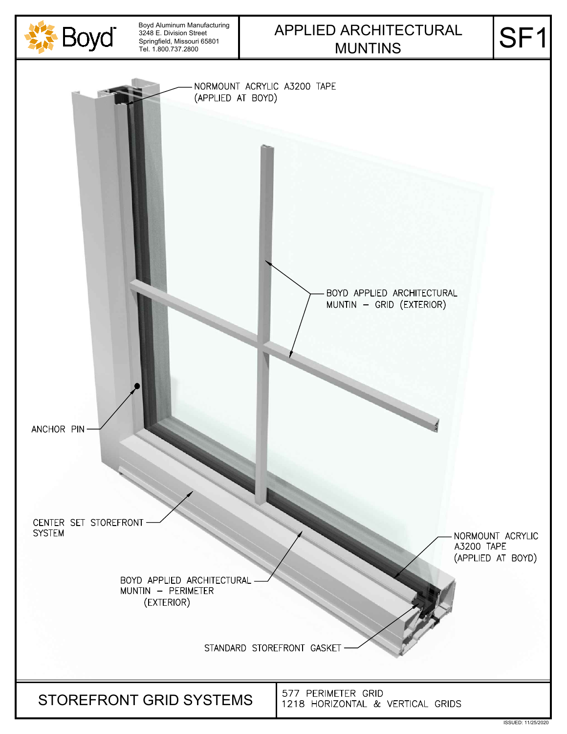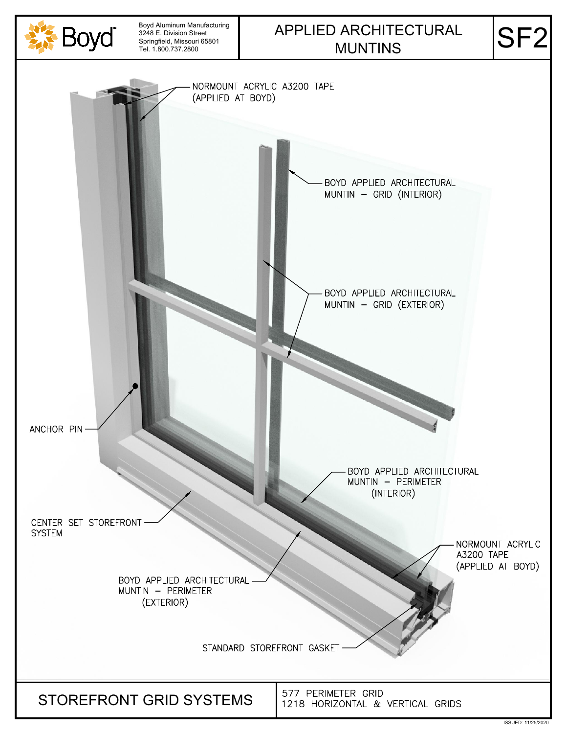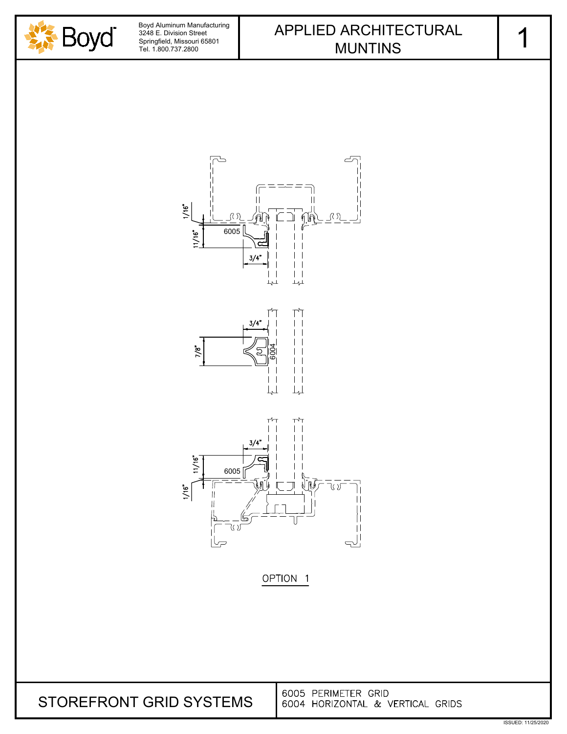







OPTION<sub>1</sub>

| STOREFRONT GRID SYSTEMS | <b>16005 PERIMETER GRID</b>                 |
|-------------------------|---------------------------------------------|
|                         | <b>6004 HORIZONTAL &amp; VERTICAL GRIDS</b> |

1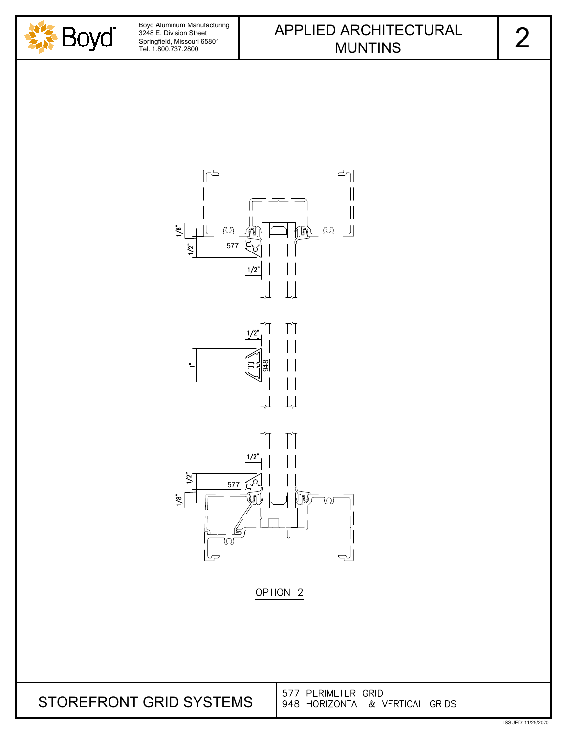





577 PERIMETER GRID STOREFRONT GRID SYSTEMS948 HORIZONTAL & VERTICAL GRIDS

ISSUED: 11/25/2020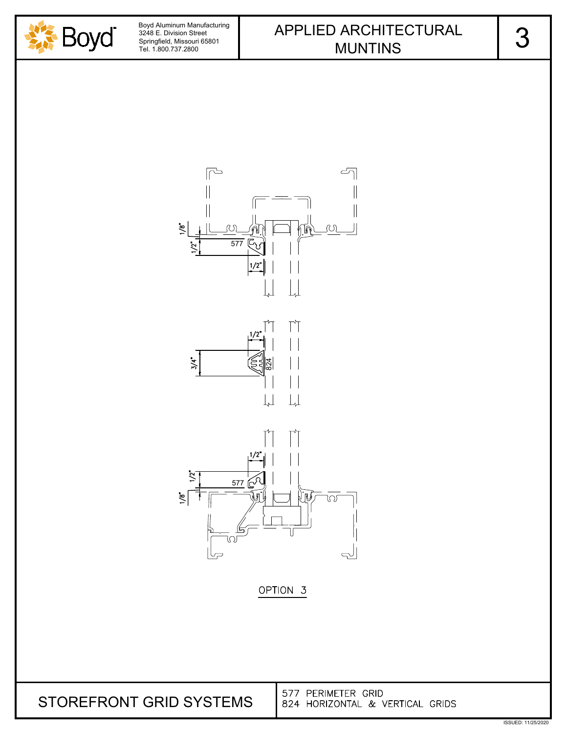



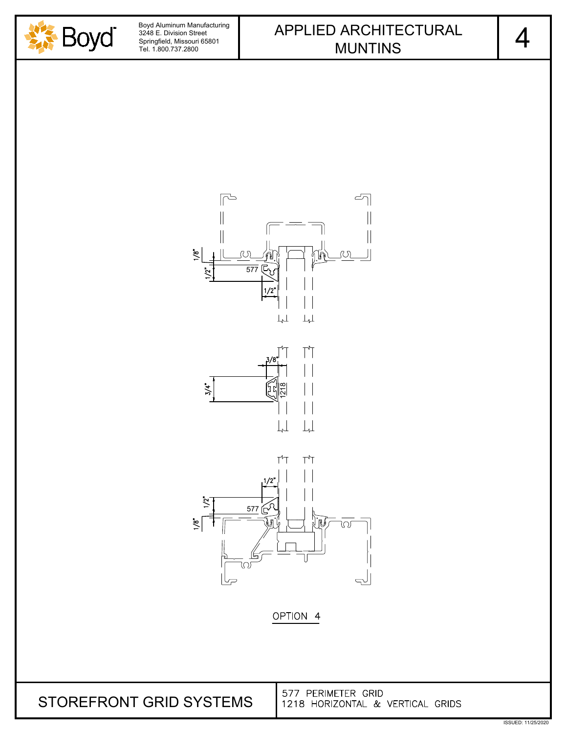







577 PERIMETER GRID 1218 HORIZONTAL & VERTICAL GRIDS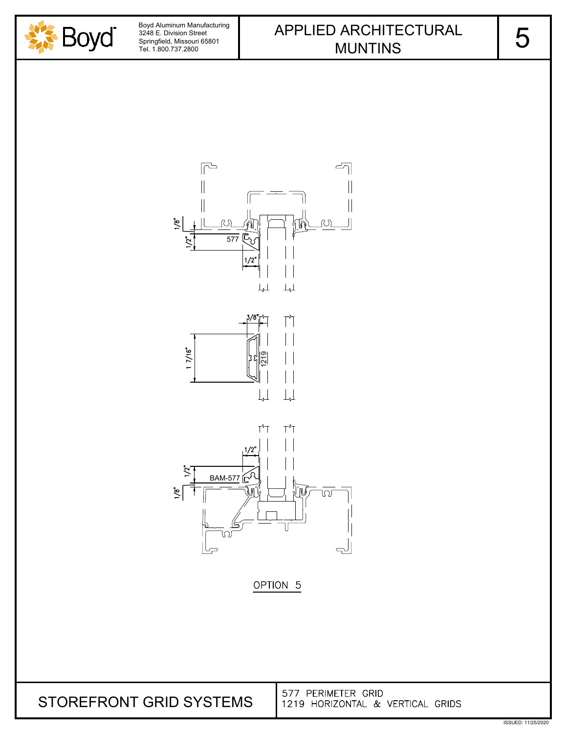







| STOREFRONT GRID SYSTEMS | 1577 PERIMETER GRID<br>11219 HORIZONTAL & VERTICAL GRIDS |
|-------------------------|----------------------------------------------------------|
|-------------------------|----------------------------------------------------------|

5

ISSUED: 11/25/2020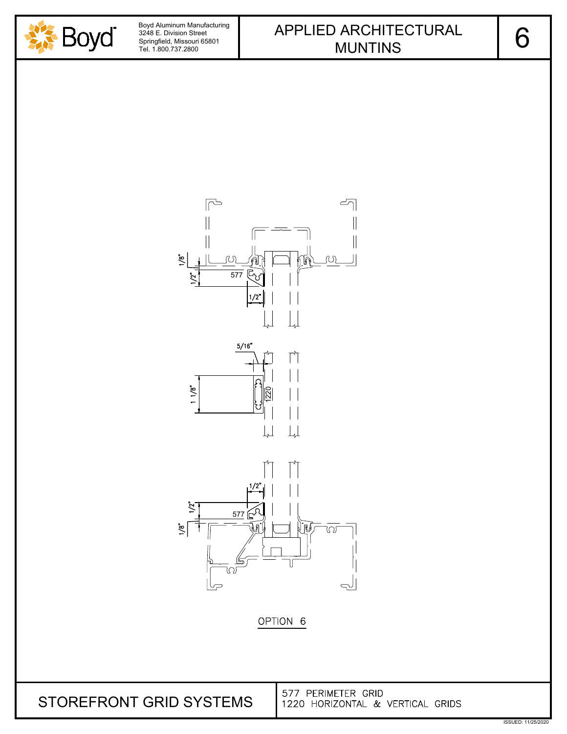







ISSUED: 11/25/2020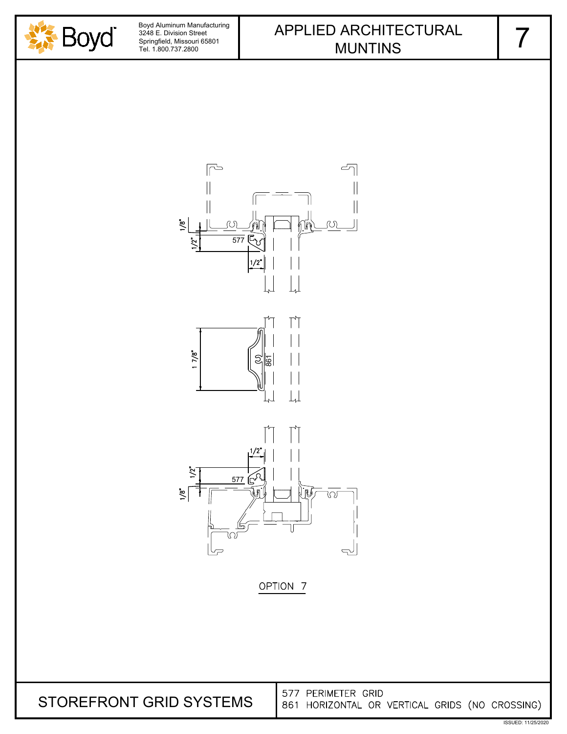







577 PERIMETER GRID STOREFRONT GRID SYSTEMS861 HORIZONTAL OR VERTICAL GRIDS (NO CROSSING)

7